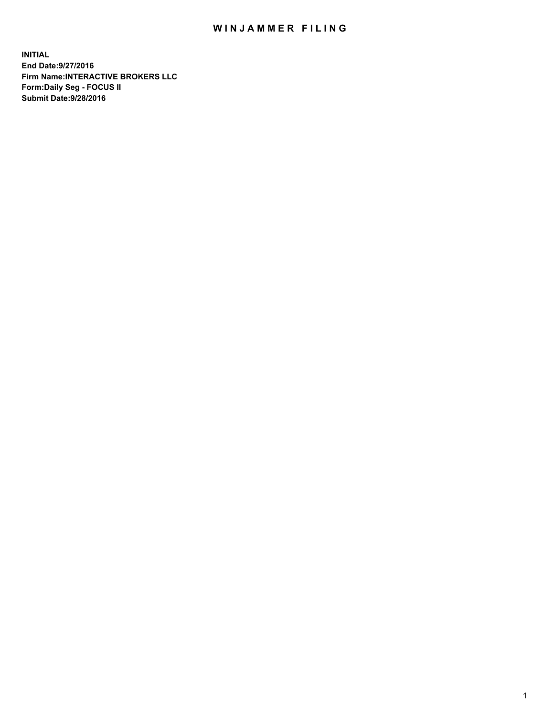## WIN JAMMER FILING

**INITIAL End Date:9/27/2016 Firm Name:INTERACTIVE BROKERS LLC Form:Daily Seg - FOCUS II Submit Date:9/28/2016**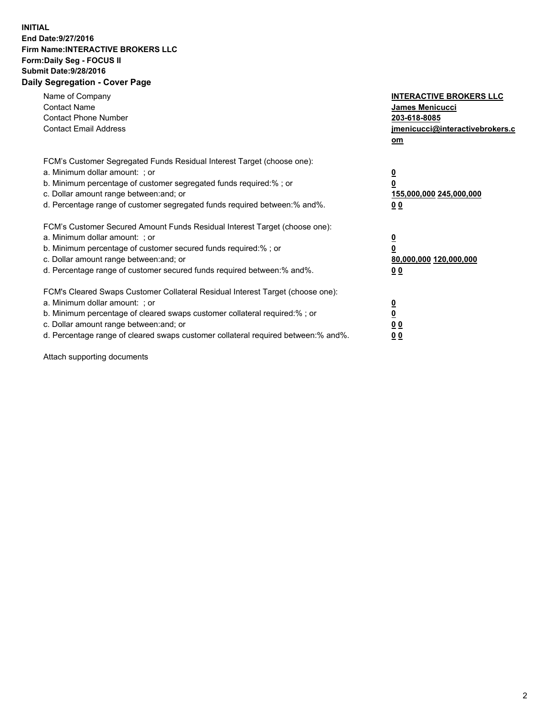## **INITIAL End Date:9/27/2016 Firm Name:INTERACTIVE BROKERS LLC Form:Daily Seg - FOCUS II Submit Date:9/28/2016 Daily Segregation - Cover Page**

| Name of Company<br><b>Contact Name</b><br><b>Contact Phone Number</b><br><b>Contact Email Address</b>                                                                                                                                                                                                                          | <b>INTERACTIVE BROKERS LLC</b><br>James Menicucci<br>203-618-8085<br>jmenicucci@interactivebrokers.c<br>om |
|--------------------------------------------------------------------------------------------------------------------------------------------------------------------------------------------------------------------------------------------------------------------------------------------------------------------------------|------------------------------------------------------------------------------------------------------------|
| FCM's Customer Segregated Funds Residual Interest Target (choose one):<br>a. Minimum dollar amount: ; or<br>b. Minimum percentage of customer segregated funds required:%; or<br>c. Dollar amount range between: and; or<br>d. Percentage range of customer segregated funds required between:% and%.                          | $\overline{\mathbf{0}}$<br>0<br>155,000,000 245,000,000<br>0 <sub>0</sub>                                  |
| FCM's Customer Secured Amount Funds Residual Interest Target (choose one):<br>a. Minimum dollar amount: ; or<br>b. Minimum percentage of customer secured funds required:%; or<br>c. Dollar amount range between: and; or<br>d. Percentage range of customer secured funds required between:% and%.                            | $\overline{\mathbf{0}}$<br>$\overline{\mathbf{0}}$<br>80,000,000 120,000,000<br>00                         |
| FCM's Cleared Swaps Customer Collateral Residual Interest Target (choose one):<br>a. Minimum dollar amount: ; or<br>b. Minimum percentage of cleared swaps customer collateral required:% ; or<br>c. Dollar amount range between: and; or<br>d. Percentage range of cleared swaps customer collateral required between:% and%. | $\overline{\mathbf{0}}$<br>$\overline{\mathbf{0}}$<br>0 <sub>0</sub><br><u>00</u>                          |

Attach supporting documents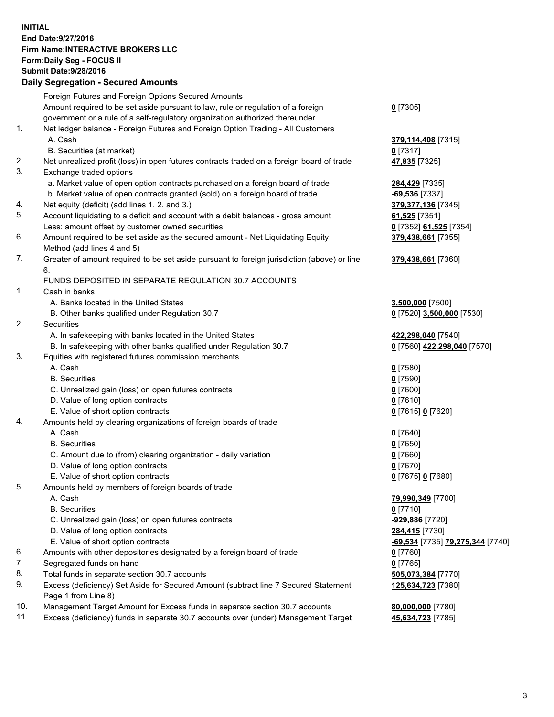## **INITIAL End Date:9/27/2016 Firm Name:INTERACTIVE BROKERS LLC Form:Daily Seg - FOCUS II Submit Date:9/28/2016 Daily Segregation - Secured Amounts**

|     | Dany Ocgregation - Oceaned Announts                                                         |                                  |
|-----|---------------------------------------------------------------------------------------------|----------------------------------|
|     | Foreign Futures and Foreign Options Secured Amounts                                         |                                  |
|     | Amount required to be set aside pursuant to law, rule or regulation of a foreign            | $0$ [7305]                       |
|     | government or a rule of a self-regulatory organization authorized thereunder                |                                  |
| 1.  | Net ledger balance - Foreign Futures and Foreign Option Trading - All Customers             |                                  |
|     | A. Cash                                                                                     | 379,114,408 [7315]               |
|     | B. Securities (at market)                                                                   | $0$ [7317]                       |
| 2.  | Net unrealized profit (loss) in open futures contracts traded on a foreign board of trade   | 47,835 [7325]                    |
| 3.  | Exchange traded options                                                                     |                                  |
|     | a. Market value of open option contracts purchased on a foreign board of trade              | 284,429 [7335]                   |
|     | b. Market value of open contracts granted (sold) on a foreign board of trade                | -69,536 [7337]                   |
| 4.  | Net equity (deficit) (add lines 1.2. and 3.)                                                | 379, 377, 136 [7345]             |
| 5.  | Account liquidating to a deficit and account with a debit balances - gross amount           | 61,525 [7351]                    |
|     | Less: amount offset by customer owned securities                                            | 0 [7352] 61,525 [7354]           |
| 6.  | Amount required to be set aside as the secured amount - Net Liquidating Equity              | 379,438,661 [7355]               |
|     | Method (add lines 4 and 5)                                                                  |                                  |
| 7.  | Greater of amount required to be set aside pursuant to foreign jurisdiction (above) or line | 379,438,661 [7360]               |
|     | 6.                                                                                          |                                  |
|     | FUNDS DEPOSITED IN SEPARATE REGULATION 30.7 ACCOUNTS                                        |                                  |
| 1.  | Cash in banks                                                                               |                                  |
|     | A. Banks located in the United States                                                       | 3,500,000 [7500]                 |
|     | B. Other banks qualified under Regulation 30.7                                              | 0 [7520] 3,500,000 [7530]        |
| 2.  | Securities                                                                                  |                                  |
|     | A. In safekeeping with banks located in the United States                                   | 422,298,040 [7540]               |
|     | B. In safekeeping with other banks qualified under Regulation 30.7                          | 0 [7560] 422,298,040 [7570]      |
| 3.  | Equities with registered futures commission merchants                                       |                                  |
|     | A. Cash                                                                                     | $0$ [7580]                       |
|     | <b>B.</b> Securities                                                                        | $0$ [7590]                       |
|     | C. Unrealized gain (loss) on open futures contracts                                         | $0$ [7600]                       |
|     | D. Value of long option contracts                                                           | $0$ [7610]                       |
|     | E. Value of short option contracts                                                          | 0 [7615] 0 [7620]                |
| 4.  | Amounts held by clearing organizations of foreign boards of trade                           |                                  |
|     | A. Cash                                                                                     | $0$ [7640]                       |
|     | <b>B.</b> Securities                                                                        | $0$ [7650]                       |
|     | C. Amount due to (from) clearing organization - daily variation                             | $0$ [7660]                       |
|     | D. Value of long option contracts                                                           | $0$ [7670]                       |
|     | E. Value of short option contracts                                                          | 0 [7675] 0 [7680]                |
| 5.  | Amounts held by members of foreign boards of trade                                          |                                  |
|     | A. Cash                                                                                     | 79,990,349 [7700]                |
|     | <b>B.</b> Securities                                                                        | $0$ [7710]                       |
|     | C. Unrealized gain (loss) on open futures contracts                                         | -929,886 [7720]                  |
|     | D. Value of long option contracts                                                           | 284,415 [7730]                   |
|     | E. Value of short option contracts                                                          | -69,534 [7735] 79,275,344 [7740] |
| 6.  | Amounts with other depositories designated by a foreign board of trade                      | $0$ [7760]                       |
| 7.  | Segregated funds on hand                                                                    | $0$ [7765]                       |
| 8.  | Total funds in separate section 30.7 accounts                                               | 505,073,384 [7770]               |
| 9.  | Excess (deficiency) Set Aside for Secured Amount (subtract line 7 Secured Statement         | 125,634,723 [7380]               |
|     | Page 1 from Line 8)                                                                         |                                  |
| 10. | Management Target Amount for Excess funds in separate section 30.7 accounts                 | 80,000,000 [7780]                |
| 11. | Excess (deficiency) funds in separate 30.7 accounts over (under) Management Target          | 45,634,723 [7785]                |
|     |                                                                                             |                                  |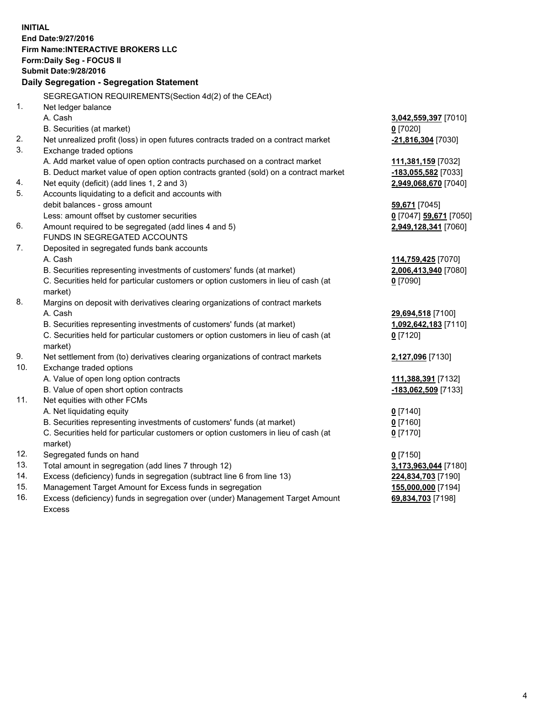**INITIAL End Date:9/27/2016 Firm Name:INTERACTIVE BROKERS LLC Form:Daily Seg - FOCUS II Submit Date:9/28/2016 Daily Segregation - Segregation Statement** SEGREGATION REQUIREMENTS(Section 4d(2) of the CEAct) 1. Net ledger balance A. Cash **3,042,559,397** [7010] B. Securities (at market) **0** [7020] 2. Net unrealized profit (loss) in open futures contracts traded on a contract market **-21,816,304** [7030] 3. Exchange traded options A. Add market value of open option contracts purchased on a contract market **111,381,159** [7032] B. Deduct market value of open option contracts granted (sold) on a contract market **-183,055,582** [7033] 4. Net equity (deficit) (add lines 1, 2 and 3) **2,949,068,670** [7040] 5. Accounts liquidating to a deficit and accounts with debit balances - gross amount **59,671** [7045] Less: amount offset by customer securities **0** [7047] **59,671** [7050] 6. Amount required to be segregated (add lines 4 and 5) **2,949,128,341** [7060] FUNDS IN SEGREGATED ACCOUNTS 7. Deposited in segregated funds bank accounts A. Cash **114,759,425** [7070] B. Securities representing investments of customers' funds (at market) **2,006,413,940** [7080] C. Securities held for particular customers or option customers in lieu of cash (at market) **0** [7090] 8. Margins on deposit with derivatives clearing organizations of contract markets A. Cash **29,694,518** [7100] B. Securities representing investments of customers' funds (at market) **1,092,642,183** [7110] C. Securities held for particular customers or option customers in lieu of cash (at market) **0** [7120] 9. Net settlement from (to) derivatives clearing organizations of contract markets **2,127,096** [7130] 10. Exchange traded options A. Value of open long option contracts **111,388,391** [7132] B. Value of open short option contracts **-183,062,509** [7133] 11. Net equities with other FCMs A. Net liquidating equity **0** [7140] B. Securities representing investments of customers' funds (at market) **0** [7160] C. Securities held for particular customers or option customers in lieu of cash (at market) **0** [7170] 12. Segregated funds on hand **0** [7150] 13. Total amount in segregation (add lines 7 through 12) **3,173,963,044** [7180] 14. Excess (deficiency) funds in segregation (subtract line 6 from line 13) **224,834,703** [7190] 15. Management Target Amount for Excess funds in segregation **155,000,000** [7194] **69,834,703** [7198]

16. Excess (deficiency) funds in segregation over (under) Management Target Amount Excess